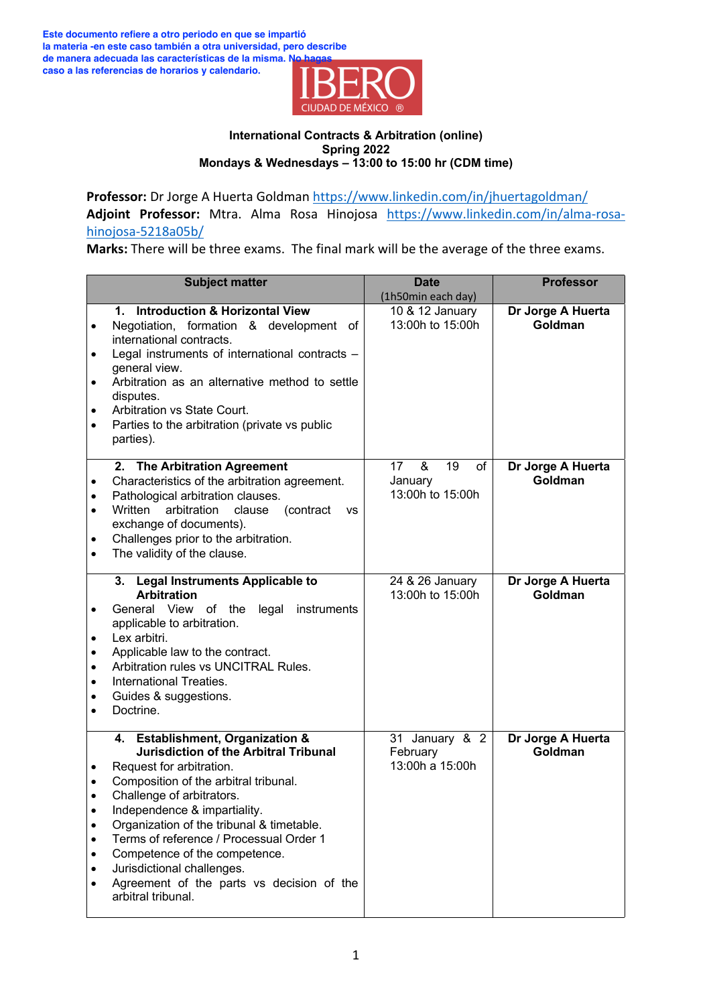

**Professor:** Dr Jorge A Huerta Goldman https://www.linkedin.com/in/jhuertagoldman/ **Adjoint Professor:** Mtra. Alma Rosa Hinojosa https://www.linkedin.com/in/alma-rosahinojosa-5218a05b/

**Marks:** There will be three exams. The final mark will be the average of the three exams.

| <b>Subject matter</b>                                                                                                                                                                                                                                                                                                                                                                                                                                               | <b>Date</b>                                        | <b>Professor</b>             |
|---------------------------------------------------------------------------------------------------------------------------------------------------------------------------------------------------------------------------------------------------------------------------------------------------------------------------------------------------------------------------------------------------------------------------------------------------------------------|----------------------------------------------------|------------------------------|
|                                                                                                                                                                                                                                                                                                                                                                                                                                                                     | (1h50min each day)                                 |                              |
| <b>Introduction &amp; Horizontal View</b><br>1.<br>Negotiation, formation & development<br>0f<br>$\bullet$<br>international contracts.<br>Legal instruments of international contracts -<br>$\bullet$<br>general view.<br>Arbitration as an alternative method to settle<br>$\bullet$<br>disputes.<br>Arbitration vs State Court.<br>٠<br>Parties to the arbitration (private vs public<br>$\bullet$<br>parties).                                                   | 10 & 12 January<br>13:00h to 15:00h                | Dr Jorge A Huerta<br>Goldman |
| 2. The Arbitration Agreement<br>Characteristics of the arbitration agreement.<br>Pathological arbitration clauses.<br>Written<br>arbitration<br>clause<br>(contract<br><b>VS</b><br>exchange of documents).<br>Challenges prior to the arbitration.<br>٠<br>The validity of the clause.<br>٠                                                                                                                                                                        | 19<br>&<br>17<br>of<br>January<br>13:00h to 15:00h | Dr Jorge A Huerta<br>Goldman |
| <b>Legal Instruments Applicable to</b><br>3.<br><b>Arbitration</b><br>General View of the<br>legal<br>instruments<br>٠<br>applicable to arbitration.<br>Lex arbitri.<br>٠<br>Applicable law to the contract.<br>$\bullet$<br>Arbitration rules vs UNCITRAL Rules.<br>$\bullet$<br>International Treaties.<br>$\bullet$<br>Guides & suggestions.<br>Doctrine.                                                                                                        | 24 & 26 January<br>13:00h to 15:00h                | Dr Jorge A Huerta<br>Goldman |
| 4. Establishment, Organization &<br><b>Jurisdiction of the Arbitral Tribunal</b><br>Request for arbitration.<br>Composition of the arbitral tribunal.<br>Challenge of arbitrators.<br>Independence & impartiality.<br>Organization of the tribunal & timetable.<br>Terms of reference / Processual Order 1<br>Competence of the competence.<br>٠<br>Jurisdictional challenges.<br>٠<br>Agreement of the parts vs decision of the<br>$\bullet$<br>arbitral tribunal. | 31 January & 2<br>February<br>13:00h a 15:00h      | Dr Jorge A Huerta<br>Goldman |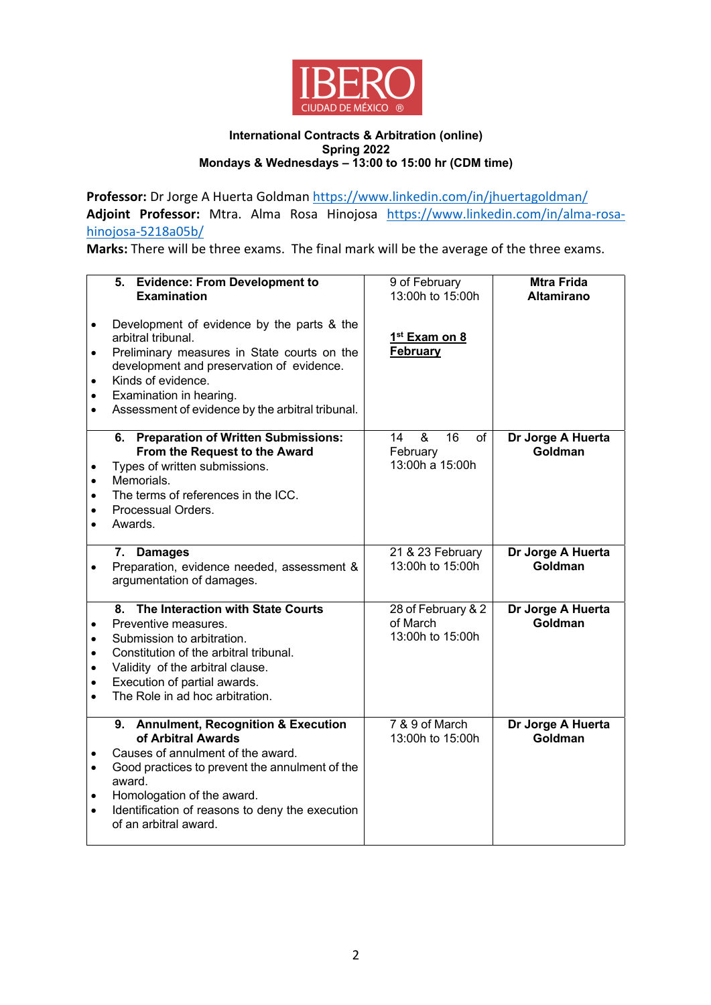

**Professor:** Dr Jorge A Huerta Goldman https://www.linkedin.com/in/jhuertagoldman/ **Adjoint Professor:** Mtra. Alma Rosa Hinojosa https://www.linkedin.com/in/alma-rosahinojosa-5218a05b/

**Marks:** There will be three exams. The final mark will be the average of the three exams.

| $\bullet$<br>$\bullet$<br>$\bullet$<br>$\bullet$              | 5. Evidence: From Development to<br><b>Examination</b><br>Development of evidence by the parts & the<br>arbitral tribunal.<br>Preliminary measures in State courts on the<br>development and preservation of evidence.<br>Kinds of evidence.<br>Examination in hearing.<br>Assessment of evidence by the arbitral tribunal. | 9 of February<br>13:00h to 15:00h<br>1 <sup>st</sup> Exam on 8<br><b>February</b> | <b>Mtra Frida</b><br><b>Altamirano</b> |
|---------------------------------------------------------------|-----------------------------------------------------------------------------------------------------------------------------------------------------------------------------------------------------------------------------------------------------------------------------------------------------------------------------|-----------------------------------------------------------------------------------|----------------------------------------|
| $\bullet$<br>$\bullet$<br>$\bullet$<br>$\bullet$<br>$\bullet$ | <b>Preparation of Written Submissions:</b><br>6.<br>From the Request to the Award<br>Types of written submissions.<br>Memorials.<br>The terms of references in the ICC.<br>Processual Orders.<br>Awards.                                                                                                                    | $\boldsymbol{\alpha}$<br>16<br>14<br>of<br>February<br>13:00h a 15:00h            | Dr Jorge A Huerta<br>Goldman           |
|                                                               | 7. Damages<br>Preparation, evidence needed, assessment &<br>argumentation of damages.                                                                                                                                                                                                                                       | 21 & 23 February<br>13:00h to 15:00h                                              | Dr Jorge A Huerta<br>Goldman           |
| $\bullet$<br>$\bullet$<br>$\bullet$<br>$\bullet$<br>$\bullet$ | The Interaction with State Courts<br>8.<br>Preventive measures.<br>Submission to arbitration.<br>Constitution of the arbitral tribunal.<br>Validity of the arbitral clause.<br>Execution of partial awards.<br>The Role in ad hoc arbitration.                                                                              | 28 of February & 2<br>of March<br>13:00h to 15:00h                                | Dr Jorge A Huerta<br>Goldman           |
| $\bullet$<br>$\bullet$<br>$\bullet$<br>$\bullet$              | 9. Annulment, Recognition & Execution<br>of Arbitral Awards<br>Causes of annulment of the award.<br>Good practices to prevent the annulment of the<br>award.<br>Homologation of the award.<br>Identification of reasons to deny the execution<br>of an arbitral award.                                                      | 7 & 9 of March<br>13:00h to 15:00h                                                | Dr Jorge A Huerta<br>Goldman           |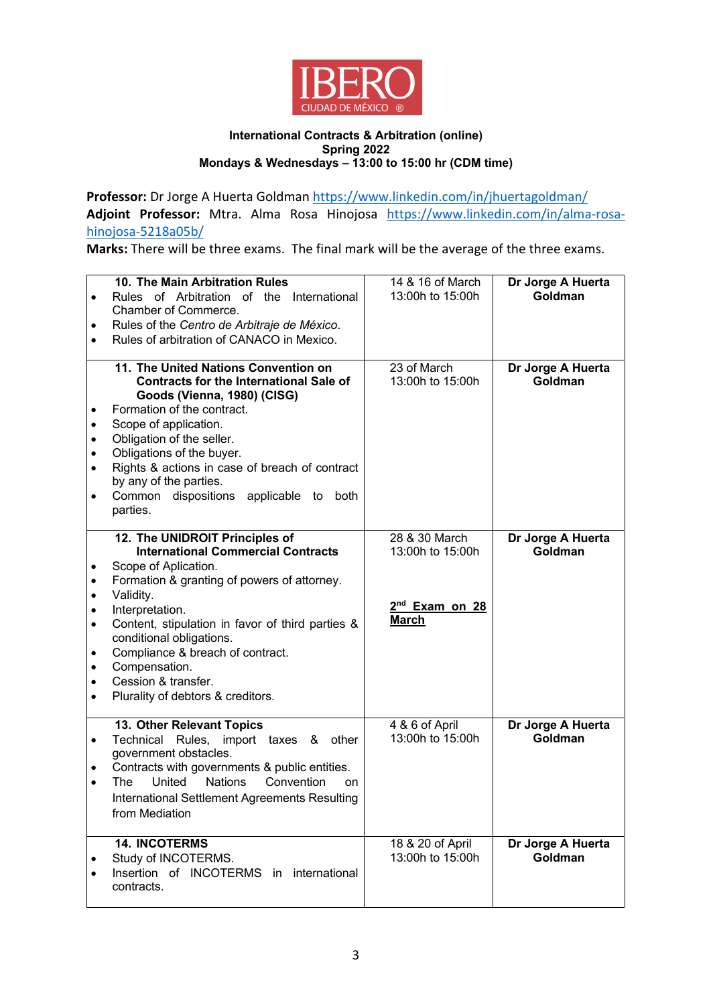

**Professor:** Dr Jorge A Huerta Goldman https://www.linkedin.com/in/jhuertagoldman/ **Adjoint Professor:** Mtra. Alma Rosa Hinojosa https://www.linkedin.com/in/alma-rosahinojosa-5218a05b/

**Marks:** There will be three exams. The final mark will be the average of the three exams.

| $\bullet$<br>٠                            | 10. The Main Arbitration Rules<br>Rules of Arbitration of the International<br>Chamber of Commerce.<br>Rules of the Centro de Arbitraje de México.<br>Rules of arbitration of CANACO in Mexico.                                                                                                                                                                                     | 14 & 16 of March<br>13:00h to 15:00h                                            | Dr Jorge A Huerta<br>Goldman |
|-------------------------------------------|-------------------------------------------------------------------------------------------------------------------------------------------------------------------------------------------------------------------------------------------------------------------------------------------------------------------------------------------------------------------------------------|---------------------------------------------------------------------------------|------------------------------|
| ٠<br>٠<br>٠<br>٠                          | 11. The United Nations Convention on<br><b>Contracts for the International Sale of</b><br>Goods (Vienna, 1980) (CISG)<br>Formation of the contract.<br>Scope of application.<br>Obligation of the seller.<br>Obligations of the buyer.<br>Rights & actions in case of breach of contract<br>by any of the parties.<br>Common dispositions applicable to<br>both<br>parties.         | 23 of March<br>13:00h to 15:00h                                                 | Dr Jorge A Huerta<br>Goldman |
| ٠<br>٠<br>٠<br>٠<br>٠<br>٠<br>٠<br>٠<br>٠ | 12. The UNIDROIT Principles of<br><b>International Commercial Contracts</b><br>Scope of Aplication.<br>Formation & granting of powers of attorney.<br>Validity.<br>Interpretation.<br>Content, stipulation in favor of third parties &<br>conditional obligations.<br>Compliance & breach of contract.<br>Compensation.<br>Cession & transfer.<br>Plurality of debtors & creditors. | 28 & 30 March<br>13:00h to 15:00h<br>2 <sup>nd</sup> Exam on 28<br><b>March</b> | Dr Jorge A Huerta<br>Goldman |
| $\bullet$<br>٠                            | 13. Other Relevant Topics<br>Technical<br>Rules, import taxes &<br>other<br>government obstacles.<br>Contracts with governments & public entities.<br>United<br><b>Nations</b><br>Convention<br>The<br>on<br>International Settlement Agreements Resulting<br>from Mediation                                                                                                        | 4 & 6 of April<br>13:00h to 15:00h                                              | Dr Jorge A Huerta<br>Goldman |
|                                           | <b>14. INCOTERMS</b><br>Study of INCOTERMS.<br>Insertion of INCOTERMS in<br>international<br>contracts.                                                                                                                                                                                                                                                                             | 18 & 20 of April<br>13:00h to 15:00h                                            | Dr Jorge A Huerta<br>Goldman |